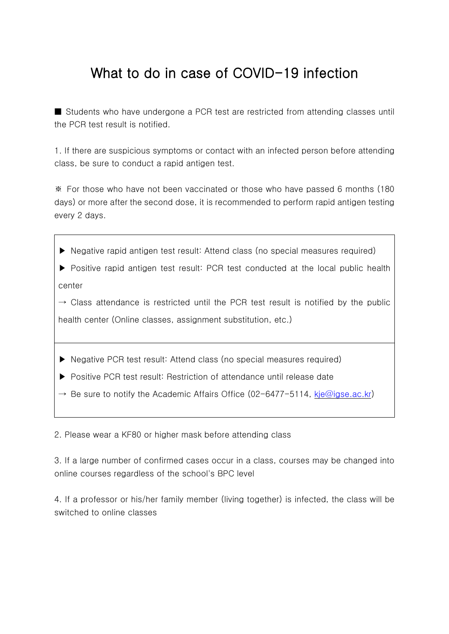## What to do in case of COVID-19 infection

■ Students who have undergone a PCR test are restricted from attending classes until the PCR test result is notified.

1. If there are suspicious symptoms or contact with an infected person before attending class, be sure to conduct a rapid antigen test.

※ For those who have not been vaccinated or those who have passed 6 months (180 days) or more after the second dose, it is recommended to perform rapid antigen testing every 2 days.

▶ Negative rapid antigen test result: Attend class (no special measures required)

▶ Positive rapid antigen test result: PCR test conducted at the local public health center

 $\rightarrow$  Class attendance is restricted until the PCR test result is notified by the public health center (Online classes, assignment substitution, etc.)

- ▶ Negative PCR test result: Attend class (no special measures required)
- ▶ Positive PCR test result: Restriction of attendance until release date
- $\rightarrow$  Be sure to notify the Academic Affairs Office (02-6477-5114, [kje@igse.ac.kr\)](mailto:kje@igse.ac.kr)

2. Please wear a KF80 or higher mask before attending class

3. If a large number of confirmed cases occur in a class, courses may be changed into online courses regardless of the school's BPC level

4. If a professor or his/her family member (living together) is infected, the class will be switched to online classes